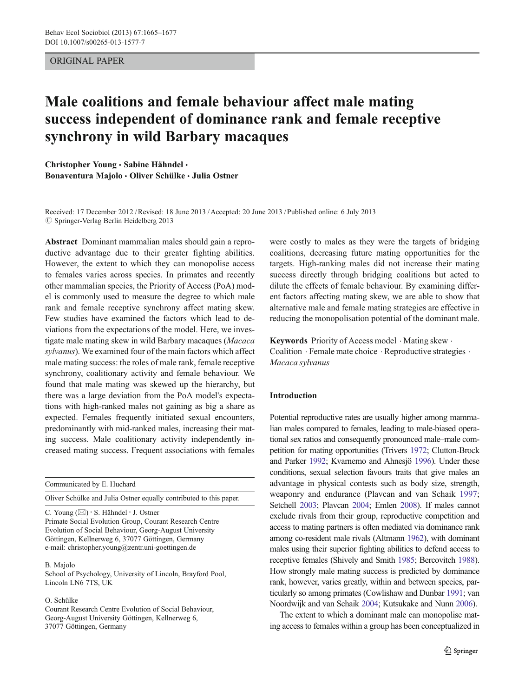## <span id="page-0-0"></span>ORIGINAL PAPER

# Male coalitions and female behaviour affect male mating success independent of dominance rank and female receptive synchrony in wild Barbary macaques

Christopher Young · Sabine Hähndel · Bonaventura Majolo · Oliver Schülke · Julia Ostner

Received: 17 December 2012 /Revised: 18 June 2013 /Accepted: 20 June 2013 / Published online: 6 July 2013  $\oslash$  Springer-Verlag Berlin Heidelberg 2013

Abstract Dominant mammalian males should gain a reproductive advantage due to their greater fighting abilities. However, the extent to which they can monopolise access to females varies across species. In primates and recently other mammalian species, the Priority of Access (PoA) model is commonly used to measure the degree to which male rank and female receptive synchrony affect mating skew. Few studies have examined the factors which lead to deviations from the expectations of the model. Here, we investigate male mating skew in wild Barbary macaques (Macaca sylvanus). We examined four of the main factors which affect male mating success: the roles of male rank, female receptive synchrony, coalitionary activity and female behaviour. We found that male mating was skewed up the hierarchy, but there was a large deviation from the PoA model's expectations with high-ranked males not gaining as big a share as expected. Females frequently initiated sexual encounters, predominantly with mid-ranked males, increasing their mating success. Male coalitionary activity independently increased mating success. Frequent associations with females

| Communicated by E. Huchard                                                                                                                                                                                                          |
|-------------------------------------------------------------------------------------------------------------------------------------------------------------------------------------------------------------------------------------|
| Oliver Schülke and Julia Ostner equally contributed to this paper.                                                                                                                                                                  |
| C. Young $(\boxtimes) \cdot$ S. Hähndel $\cdot$ J. Ostner<br>Primate Social Evolution Group, Courant Research Centre<br>Evolution of Social Behaviour, Georg-August University<br>Göttingen, Kellnerweg 6, 37077 Göttingen, Germany |

e-mail: christopher.young@zentr.uni-goettingen.de

B. Majolo

School of Psychology, University of Lincoln, Brayford Pool, Lincoln LN6 7TS, UK

## O. Schülke

Courant Research Centre Evolution of Social Behaviour, Georg-August University Göttingen, Kellnerweg 6, 37077 Göttingen, Germany

were costly to males as they were the targets of bridging coalitions, decreasing future mating opportunities for the targets. High-ranking males did not increase their mating success directly through bridging coalitions but acted to dilute the effects of female behaviour. By examining different factors affecting mating skew, we are able to show that alternative male and female mating strategies are effective in reducing the monopolisation potential of the dominant male.

Keywords Priority of Access model . Mating skew . Coalition . Female mate choice . Reproductive strategies . Macaca sylvanus

## Introduction

Potential reproductive rates are usually higher among mammalian males compared to females, leading to male-biased operational sex ratios and consequently pronounced male–male competition for mating opportunities (Trivers [1972](#page-12-0); Clutton-Brock and Parker [1992;](#page-10-0) Kvarnemo and Ahnesjö [1996](#page-11-0)). Under these conditions, sexual selection favours traits that give males an advantage in physical contests such as body size, strength, weaponry and endurance (Plavcan and van Schaik [1997;](#page-12-0) Setchell [2003](#page-12-0); Plavcan [2004;](#page-12-0) Emlen [2008](#page-11-0)). If males cannot exclude rivals from their group, reproductive competition and access to mating partners is often mediated via dominance rank among co-resident male rivals (Altmann [1962\)](#page-10-0), with dominant males using their superior fighting abilities to defend access to receptive females (Shively and Smith [1985](#page-12-0); Bercovitch [1988\)](#page-10-0). How strongly male mating success is predicted by dominance rank, however, varies greatly, within and between species, particularly so among primates (Cowlishaw and Dunbar [1991;](#page-11-0) van Noordwijk and van Schaik [2004](#page-12-0); Kutsukake and Nunn [2006](#page-11-0)).

The extent to which a dominant male can monopolise mating access to females within a group has been conceptualized in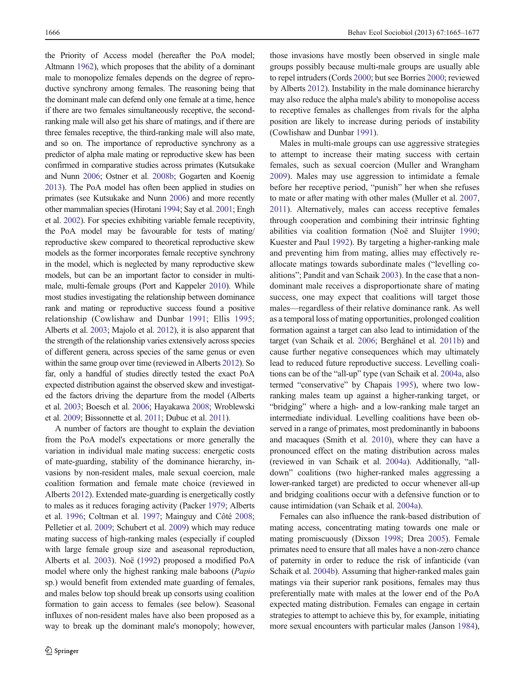the Priority of Access model (hereafter the PoA model; Altmann [1962](#page-10-0)), which proposes that the ability of a dominant male to monopolize females depends on the degree of reproductive synchrony among females. The reasoning being that the dominant male can defend only one female at a time, hence if there are two females simultaneously receptive, the secondranking male will also get his share of matings, and if there are three females receptive, the third-ranking male will also mate, and so on. The importance of reproductive synchrony as a predictor of alpha male mating or reproductive skew has been confirmed in comparative studies across primates (Kutsukake and Nunn [2006](#page-11-0); Ostner et al. [2008b](#page-11-0); Gogarten and Koenig [2013](#page-11-0)). The PoA model has often been applied in studies on primates (see Kutsukake and Nunn [2006\)](#page-11-0) and more recently other mammalian species (Hirotani [1994](#page-11-0); Say et al. [2001](#page-12-0); Engh et al. [2002](#page-11-0)). For species exhibiting variable female receptivity, the PoA model may be favourable for tests of mating/ reproductive skew compared to theoretical reproductive skew models as the former incorporates female receptive synchrony in the model, which is neglected by many reproductive skew models, but can be an important factor to consider in multimale, multi-female groups (Port and Kappeler [2010](#page-12-0)). While most studies investigating the relationship between dominance rank and mating or reproductive success found a positive relationship (Cowlishaw and Dunbar [1991](#page-11-0); Ellis [1995](#page-11-0); Alberts et al. [2003;](#page-10-0) Majolo et al. [2012](#page-11-0)), it is also apparent that the strength of the relationship varies extensively across species of different genera, across species of the same genus or even within the same group over time (reviewed in Alberts [2012\)](#page-10-0). So far, only a handful of studies directly tested the exact PoA expected distribution against the observed skew and investigated the factors driving the departure from the model (Alberts et al. [2003;](#page-10-0) Boesch et al. [2006](#page-10-0); Hayakawa [2008](#page-11-0); Wroblewski et al. [2009](#page-12-0); Bissonnette et al. [2011;](#page-10-0) Dubuc et al. [2011](#page-11-0)).

A number of factors are thought to explain the deviation from the PoA model's expectations or more generally the variation in individual male mating success: energetic costs of mate-guarding, stability of the dominance hierarchy, invasions by non-resident males, male sexual coercion, male coalition formation and female mate choice (reviewed in Alberts [2012](#page-10-0)). Extended mate-guarding is energetically costly to males as it reduces foraging activity (Packer [1979](#page-11-0); Alberts et al. [1996](#page-10-0); Coltman et al. [1997](#page-10-0); Mainguy and Côté [2008](#page-11-0); Pelletier et al. [2009](#page-12-0); Schubert et al. [2009](#page-12-0)) which may reduce mating success of high-ranking males (especially if coupled with large female group size and aseasonal reproduction, Alberts et al. [2003](#page-10-0)). Noë [\(1992\)](#page-11-0) proposed a modified PoA model where only the highest ranking male baboons (Papio sp.) would benefit from extended mate guarding of females, and males below top should break up consorts using coalition formation to gain access to females (see below). Seasonal influxes of non-resident males have also been proposed as a way to break up the dominant male's monopoly; however,

those invasions have mostly been observed in single male groups possibly because multi-male groups are usually able to repel intruders (Cords [2000;](#page-10-0) but see Borries [2000](#page-10-0); reviewed by Alberts [2012\)](#page-10-0). Instability in the male dominance hierarchy may also reduce the alpha male's ability to monopolise access to receptive females as challenges from rivals for the alpha position are likely to increase during periods of instability (Cowlishaw and Dunbar [1991\)](#page-11-0).

Males in multi-male groups can use aggressive strategies to attempt to increase their mating success with certain females, such as sexual coercion (Muller and Wrangham [2009](#page-11-0)). Males may use aggression to intimidate a female before her receptive period, "punish" her when she refuses to mate or after mating with other males (Muller et al. [2007,](#page-11-0) [2011\)](#page-11-0). Alternatively, males can access receptive females through cooperation and combining their intrinsic fighting abilities via coalition formation (Noë and Sluijter [1990;](#page-11-0) Kuester and Paul [1992\)](#page-11-0). By targeting a higher-ranking male and preventing him from mating, allies may effectively reallocate matings towards subordinate males ("levelling coalitions"; Pandit and van Schaik [2003\)](#page-11-0). In the case that a nondominant male receives a disproportionate share of mating success, one may expect that coalitions will target those males—regardless of their relative dominance rank. As well as a temporal loss of mating opportunities, prolonged coalition formation against a target can also lead to intimidation of the target (van Schaik et al. [2006;](#page-12-0) Berghänel et al. [2011b](#page-10-0)) and cause further negative consequences which may ultimately lead to reduced future reproductive success. Levelling coalitions can be of the "all-up" type (van Schaik et al. [2004a,](#page-12-0) also termed "conservative" by Chapais [1995](#page-10-0)), where two lowranking males team up against a higher-ranking target, or "bridging" where a high- and a low-ranking male target an intermediate individual. Levelling coalitions have been observed in a range of primates, most predominantly in baboons and macaques (Smith et al. [2010](#page-12-0)), where they can have a pronounced effect on the mating distribution across males (reviewed in van Schaik et al. [2004a](#page-12-0)). Additionally, "alldown" coalitions (two higher-ranked males aggressing a lower-ranked target) are predicted to occur whenever all-up and bridging coalitions occur with a defensive function or to cause intimidation (van Schaik et al. [2004a](#page-12-0)).

Females can also influence the rank-based distribution of mating access, concentrating mating towards one male or mating promiscuously (Dixson [1998](#page-11-0); Drea [2005](#page-11-0)). Female primates need to ensure that all males have a non-zero chance of paternity in order to reduce the risk of infanticide (van Schaik et al. [2004b](#page-12-0)). Assuming that higher-ranked males gain matings via their superior rank positions, females may thus preferentially mate with males at the lower end of the PoA expected mating distribution. Females can engage in certain strategies to attempt to achieve this by, for example, initiating more sexual encounters with particular males (Janson [1984\)](#page-11-0),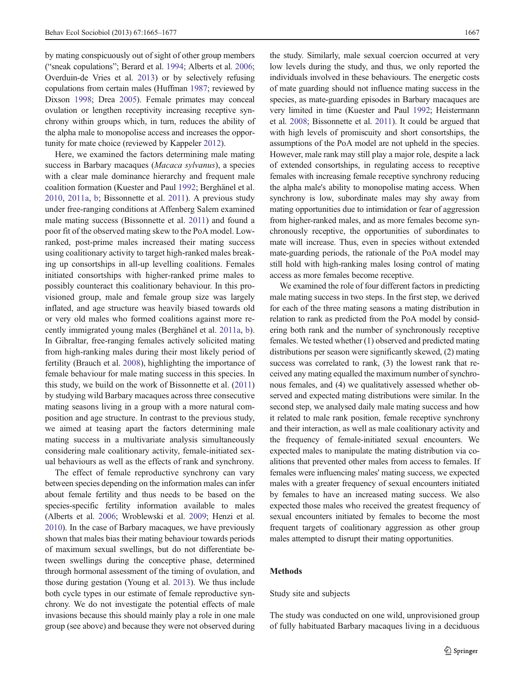<span id="page-2-0"></span>by mating conspicuously out of sight of other group members ("sneak copulations"; Berard et al. [1994](#page-10-0); Alberts et al. [2006](#page-10-0); Overduin-de Vries et al. [2013\)](#page-11-0) or by selectively refusing copulations from certain males (Huffman [1987](#page-11-0); reviewed by Dixson [1998;](#page-11-0) Drea [2005](#page-11-0)). Female primates may conceal ovulation or lengthen receptivity increasing receptive synchrony within groups which, in turn, reduces the ability of the alpha male to monopolise access and increases the opportunity for mate choice (reviewed by Kappeler [2012\)](#page-11-0).

Here, we examined the factors determining male mating success in Barbary macaques (Macaca sylvanus), a species with a clear male dominance hierarchy and frequent male coalition formation (Kuester and Paul [1992](#page-11-0); Berghänel et al. [2010,](#page-10-0) [2011a,](#page-10-0) [b;](#page-10-0) Bissonnette et al. [2011](#page-10-0)). A previous study under free-ranging conditions at Affenberg Salem examined male mating success (Bissonnette et al. [2011\)](#page-10-0) and found a poor fit of the observed mating skew to the PoA model. Lowranked, post-prime males increased their mating success using coalitionary activity to target high-ranked males breaking up consortships in all-up levelling coalitions. Females initiated consortships with higher-ranked prime males to possibly counteract this coalitionary behaviour. In this provisioned group, male and female group size was largely inflated, and age structure was heavily biased towards old or very old males who formed coalitions against more recently immigrated young males (Berghänel et al. [2011a](#page-10-0), [b](#page-10-0)). In Gibraltar, free-ranging females actively solicited mating from high-ranking males during their most likely period of fertility (Brauch et al. [2008\)](#page-10-0), highlighting the importance of female behaviour for male mating success in this species. In this study, we build on the work of Bissonnette et al. [\(2011\)](#page-10-0) by studying wild Barbary macaques across three consecutive mating seasons living in a group with a more natural composition and age structure. In contrast to the previous study, we aimed at teasing apart the factors determining male mating success in a multivariate analysis simultaneously considering male coalitionary activity, female-initiated sexual behaviours as well as the effects of rank and synchrony.

The effect of female reproductive synchrony can vary between species depending on the information males can infer about female fertility and thus needs to be based on the species-specific fertility information available to males (Alberts et al. [2006](#page-10-0); Wroblewski et al. [2009](#page-12-0); Henzi et al. [2010\)](#page-11-0). In the case of Barbary macaques, we have previously shown that males bias their mating behaviour towards periods of maximum sexual swellings, but do not differentiate between swellings during the conceptive phase, determined through hormonal assessment of the timing of ovulation, and those during gestation (Young et al. [2013](#page-12-0)). We thus include both cycle types in our estimate of female reproductive synchrony. We do not investigate the potential effects of male invasions because this should mainly play a role in one male group (see above) and because they were not observed during

the study. Similarly, male sexual coercion occurred at very low levels during the study, and thus, we only reported the individuals involved in these behaviours. The energetic costs of mate guarding should not influence mating success in the species, as mate-guarding episodes in Barbary macaques are very limited in time (Kuester and Paul [1992](#page-11-0); Heistermann et al. [2008](#page-11-0); Bissonnette et al. [2011\)](#page-10-0). It could be argued that with high levels of promiscuity and short consortships, the assumptions of the PoA model are not upheld in the species. However, male rank may still play a major role, despite a lack of extended consortships, in regulating access to receptive females with increasing female receptive synchrony reducing the alpha male's ability to monopolise mating access. When synchrony is low, subordinate males may shy away from mating opportunities due to intimidation or fear of aggression from higher-ranked males, and as more females become synchronously receptive, the opportunities of subordinates to mate will increase. Thus, even in species without extended mate-guarding periods, the rationale of the PoA model may still hold with high-ranking males losing control of mating access as more females become receptive.

We examined the role of four different factors in predicting male mating success in two steps. In the first step, we derived for each of the three mating seasons a mating distribution in relation to rank as predicted from the PoA model by considering both rank and the number of synchronously receptive females. We tested whether (1) observed and predicted mating distributions per season were significantly skewed, (2) mating success was correlated to rank, (3) the lowest rank that received any mating equalled the maximum number of synchronous females, and (4) we qualitatively assessed whether observed and expected mating distributions were similar. In the second step, we analysed daily male mating success and how it related to male rank position, female receptive synchrony and their interaction, as well as male coalitionary activity and the frequency of female-initiated sexual encounters. We expected males to manipulate the mating distribution via coalitions that prevented other males from access to females. If females were influencing males' mating success, we expected males with a greater frequency of sexual encounters initiated by females to have an increased mating success. We also expected those males who received the greatest frequency of sexual encounters initiated by females to become the most frequent targets of coalitionary aggression as other group males attempted to disrupt their mating opportunities.

## Methods

Study site and subjects

The study was conducted on one wild, unprovisioned group of fully habituated Barbary macaques living in a deciduous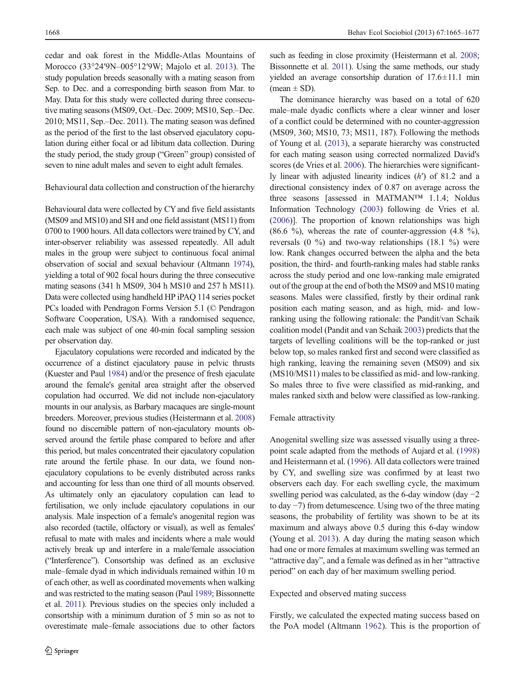cedar and oak forest in the Middle-Atlas Mountains of Morocco (33°24′9N–005°12′9W; Majolo et al. [2013\)](#page-11-0). The study population breeds seasonally with a mating season from Sep. to Dec. and a corresponding birth season from Mar. to May. Data for this study were collected during three consecutive mating seasons (MS09, Oct.–Dec. 2009; MS10, Sep.–Dec. 2010; MS11, Sep.–Dec. 2011). The mating season was defined as the period of the first to the last observed ejaculatory copulation during either focal or ad libitum data collection. During the study period, the study group ("Green" group) consisted of seven to nine adult males and seven to eight adult females.

#### Behavioural data collection and construction of the hierarchy

Behavioural data were collected by CY and five field assistants (MS09 and MS10) and SH and one field assistant (MS11) from 0700 to 1900 hours. All data collectors were trained by CY, and inter-observer reliability was assessed repeatedly. All adult males in the group were subject to continuous focal animal observation of social and sexual behaviour (Altmann [1974\)](#page-10-0), yielding a total of 902 focal hours during the three consecutive mating seasons (341 h MS09, 304 h MS10 and 257 h MS11). Data were collected using handheld HP iPAQ 114 series pocket PCs loaded with Pendragon Forms Version 5.1 (© Pendragon Software Cooperation, USA). With a randomised sequence, each male was subject of one 40-min focal sampling session per observation day.

Ejaculatory copulations were recorded and indicated by the occurrence of a distinct ejaculatory pause in pelvic thrusts (Kuester and Paul [1984](#page-11-0)) and/or the presence of fresh ejaculate around the female's genital area straight after the observed copulation had occurred. We did not include non-ejaculatory mounts in our analysis, as Barbary macaques are single-mount breeders. Moreover, previous studies (Heistermann et al. [2008\)](#page-11-0) found no discernible pattern of non-ejaculatory mounts observed around the fertile phase compared to before and after this period, but males concentrated their ejaculatory copulation rate around the fertile phase. In our data, we found nonejaculatory copulations to be evenly distributed across ranks and accounting for less than one third of all mounts observed. As ultimately only an ejaculatory copulation can lead to fertilisation, we only include ejaculatory copulations in our analysis. Male inspection of a female's anogenital region was also recorded (tactile, olfactory or visual), as well as females' refusal to mate with males and incidents where a male would actively break up and interfere in a male/female association ("Interference"). Consortship was defined as an exclusive male–female dyad in which individuals remained within 10 m of each other, as well as coordinated movements when walking and was restricted to the mating season (Paul [1989](#page-11-0); Bissonnette et al. [2011\)](#page-10-0). Previous studies on the species only included a consortship with a minimum duration of 5 min so as not to overestimate male–female associations due to other factors such as feeding in close proximity (Heistermann et al. [2008;](#page-11-0) Bissonnette et al. [2011\)](#page-10-0). Using the same methods, our study yielded an average consortship duration of 17.6±11.1 min  $(mean \pm SD)$ .

The dominance hierarchy was based on a total of 620 male–male dyadic conflicts where a clear winner and loser of a conflict could be determined with no counter-aggression (MS09, 360; MS10, 73; MS11, 187). Following the methods of Young et al. ([2013](#page-12-0)), a separate hierarchy was constructed for each mating season using corrected normalized David's scores (de Vries et al. [2006\)](#page-11-0). The hierarchies were significantly linear with adjusted linearity indices (h′) of 81.2 and a directional consistency index of 0.87 on average across the three seasons [assessed in MATMAN™ 1.1.4; Noldus Information Technology ([2003](#page-11-0)) following de Vries et al. [\(2006\)](#page-11-0)]. The proportion of known relationships was high  $(86.6 \%)$ , whereas the rate of counter-aggression  $(4.8 \%)$ , reversals  $(0 \%)$  and two-way relationships  $(18.1 \%)$  were low. Rank changes occurred between the alpha and the beta position, the third- and fourth-ranking males had stable ranks across the study period and one low-ranking male emigrated out of the group at the end of both the MS09 and MS10 mating seasons. Males were classified, firstly by their ordinal rank position each mating season, and as high, mid- and lowranking using the following rationale: the Pandit/van Schaik coalition model (Pandit and van Schaik [2003](#page-11-0)) predicts that the targets of levelling coalitions will be the top-ranked or just below top, so males ranked first and second were classified as high ranking, leaving the remaining seven (MS09) and six (MS10/MS11) males to be classified as mid- and low-ranking. So males three to five were classified as mid-ranking, and males ranked sixth and below were classified as low-ranking.

## Female attractivity

Anogenital swelling size was assessed visually using a threepoint scale adapted from the methods of Aujard et al. [\(1998](#page-10-0)) and Heistermann et al. [\(1996\)](#page-11-0). All data collectors were trained by CY, and swelling size was confirmed by at least two observers each day. For each swelling cycle, the maximum swelling period was calculated, as the 6-day window (day −2 to day −7) from detumescence. Using two of the three mating seasons, the probability of fertility was shown to be at its maximum and always above 0.5 during this 6-day window (Young et al. [2013\)](#page-12-0). A day during the mating season which had one or more females at maximum swelling was termed an "attractive day", and a female was defined as in her "attractive period" on each day of her maximum swelling period.

# Expected and observed mating success

Firstly, we calculated the expected mating success based on the PoA model (Altmann [1962\)](#page-10-0). This is the proportion of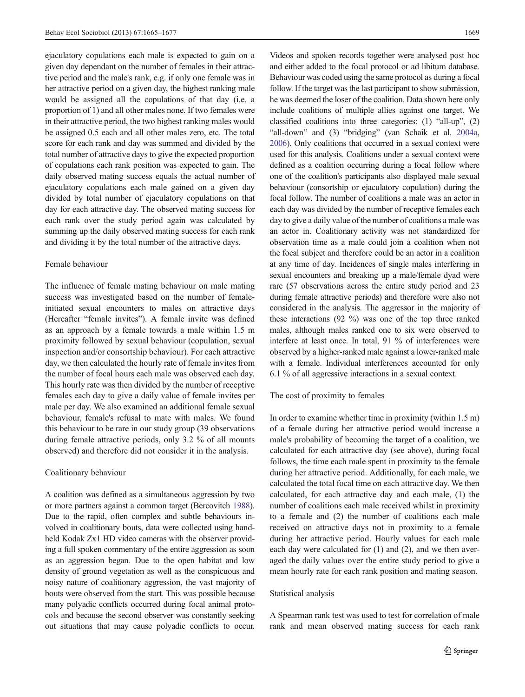ejaculatory copulations each male is expected to gain on a given day dependant on the number of females in their attractive period and the male's rank, e.g. if only one female was in her attractive period on a given day, the highest ranking male would be assigned all the copulations of that day (i.e. a proportion of 1) and all other males none. If two females were in their attractive period, the two highest ranking males would be assigned 0.5 each and all other males zero, etc. The total score for each rank and day was summed and divided by the total number of attractive days to give the expected proportion of copulations each rank position was expected to gain. The daily observed mating success equals the actual number of ejaculatory copulations each male gained on a given day divided by total number of ejaculatory copulations on that day for each attractive day. The observed mating success for each rank over the study period again was calculated by summing up the daily observed mating success for each rank and dividing it by the total number of the attractive days.

### Female behaviour

The influence of female mating behaviour on male mating success was investigated based on the number of femaleinitiated sexual encounters to males on attractive days (Hereafter "female invites"). A female invite was defined as an approach by a female towards a male within 1.5 m proximity followed by sexual behaviour (copulation, sexual inspection and/or consortship behaviour). For each attractive day, we then calculated the hourly rate of female invites from the number of focal hours each male was observed each day. This hourly rate was then divided by the number of receptive females each day to give a daily value of female invites per male per day. We also examined an additional female sexual behaviour, female's refusal to mate with males. We found this behaviour to be rare in our study group (39 observations during female attractive periods, only 3.2 % of all mounts observed) and therefore did not consider it in the analysis.

#### Coalitionary behaviour

A coalition was defined as a simultaneous aggression by two or more partners against a common target (Bercovitch [1988\)](#page-10-0). Due to the rapid, often complex and subtle behaviours involved in coalitionary bouts, data were collected using handheld Kodak Zx1 HD video cameras with the observer providing a full spoken commentary of the entire aggression as soon as an aggression began. Due to the open habitat and low density of ground vegetation as well as the conspicuous and noisy nature of coalitionary aggression, the vast majority of bouts were observed from the start. This was possible because many polyadic conflicts occurred during focal animal protocols and because the second observer was constantly seeking out situations that may cause polyadic conflicts to occur.

Videos and spoken records together were analysed post hoc and either added to the focal protocol or ad libitum database. Behaviour was coded using the same protocol as during a focal follow. If the target was the last participant to show submission, he was deemed the loser of the coalition. Data shown here only include coalitions of multiple allies against one target. We classified coalitions into three categories: (1) "all-up", (2) "all-down" and (3) "bridging" (van Schaik et al. [2004a,](#page-12-0) [2006\)](#page-12-0). Only coalitions that occurred in a sexual context were used for this analysis. Coalitions under a sexual context were defined as a coalition occurring during a focal follow where one of the coalition's participants also displayed male sexual behaviour (consortship or ejaculatory copulation) during the focal follow. The number of coalitions a male was an actor in each day was divided by the number of receptive females each day to give a daily value of the number of coalitions a male was an actor in. Coalitionary activity was not standardized for observation time as a male could join a coalition when not the focal subject and therefore could be an actor in a coalition at any time of day. Incidences of single males interfering in sexual encounters and breaking up a male/female dyad were rare (57 observations across the entire study period and 23 during female attractive periods) and therefore were also not considered in the analysis. The aggressor in the majority of these interactions (92 %) was one of the top three ranked males, although males ranked one to six were observed to interfere at least once. In total, 91 % of interferences were observed by a higher-ranked male against a lower-ranked male with a female. Individual interferences accounted for only 6.1 % of all aggressive interactions in a sexual context.

#### The cost of proximity to females

In order to examine whether time in proximity (within 1.5 m) of a female during her attractive period would increase a male's probability of becoming the target of a coalition, we calculated for each attractive day (see above), during focal follows, the time each male spent in proximity to the female during her attractive period. Additionally, for each male, we calculated the total focal time on each attractive day. We then calculated, for each attractive day and each male, (1) the number of coalitions each male received whilst in proximity to a female and (2) the number of coalitions each male received on attractive days not in proximity to a female during her attractive period. Hourly values for each male each day were calculated for (1) and (2), and we then averaged the daily values over the entire study period to give a mean hourly rate for each rank position and mating season.

#### Statistical analysis

A Spearman rank test was used to test for correlation of male rank and mean observed mating success for each rank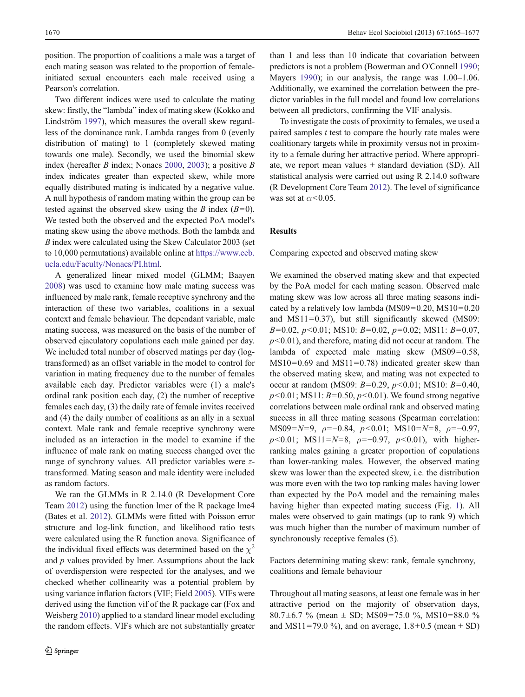position. The proportion of coalitions a male was a target of each mating season was related to the proportion of femaleinitiated sexual encounters each male received using a Pearson's correlation.

Two different indices were used to calculate the mating skew: firstly, the "lambda" index of mating skew (Kokko and Lindström [1997](#page-11-0)), which measures the overall skew regardless of the dominance rank. Lambda ranges from 0 (evenly distribution of mating) to 1 (completely skewed mating towards one male). Secondly, we used the binomial skew index (hereafter B index; Nonacs [2000,](#page-11-0) [2003](#page-11-0)); a positive B index indicates greater than expected skew, while more equally distributed mating is indicated by a negative value. A null hypothesis of random mating within the group can be tested against the observed skew using the B index  $(B=0)$ . We tested both the observed and the expected PoA model's mating skew using the above methods. Both the lambda and B index were calculated using the Skew Calculator 2003 (set to 10,000 permutations) available online at [https://www.eeb.](https://www.eeb.ucla.edu/Faculty/Nonacs/PI.html) [ucla.edu/Faculty/Nonacs/PI.html](https://www.eeb.ucla.edu/Faculty/Nonacs/PI.html).

A generalized linear mixed model (GLMM; Baayen [2008\)](#page-10-0) was used to examine how male mating success was influenced by male rank, female receptive synchrony and the interaction of these two variables, coalitions in a sexual context and female behaviour. The dependant variable, male mating success, was measured on the basis of the number of observed ejaculatory copulations each male gained per day. We included total number of observed matings per day (logtransformed) as an offset variable in the model to control for variation in mating frequency due to the number of females available each day. Predictor variables were (1) a male's ordinal rank position each day, (2) the number of receptive females each day, (3) the daily rate of female invites received and (4) the daily number of coalitions as an ally in a sexual context. Male rank and female receptive synchrony were included as an interaction in the model to examine if the influence of male rank on mating success changed over the range of synchrony values. All predictor variables were ztransformed. Mating season and male identity were included as random factors.

We ran the GLMMs in R 2.14.0 (R Development Core Team [2012\)](#page-12-0) using the function lmer of the R package lme4 (Bates et al. [2012](#page-10-0)). GLMMs were fitted with Poisson error structure and log-link function, and likelihood ratio tests were calculated using the R function anova. Significance of the individual fixed effects was determined based on the  $\chi^2$ and  $p$  values provided by lmer. Assumptions about the lack of overdispersion were respected for the analyses, and we checked whether collinearity was a potential problem by using variance inflation factors (VIF; Field [2005](#page-11-0)). VIFs were derived using the function vif of the R package car (Fox and Weisberg [2010](#page-11-0)) applied to a standard linear model excluding the random effects. VIFs which are not substantially greater

than 1 and less than 10 indicate that covariation between predictors is not a problem (Bowerman and O'Connell [1990;](#page-10-0) Mayers [1990](#page-11-0)); in our analysis, the range was 1.00–1.06. Additionally, we examined the correlation between the predictor variables in the full model and found low correlations between all predictors, confirming the VIF analysis.

To investigate the costs of proximity to females, we used a paired samples *t* test to compare the hourly rate males were coalitionary targets while in proximity versus not in proximity to a female during her attractive period. Where appropriate, we report mean values  $\pm$  standard deviation (SD). All statistical analysis were carried out using R 2.14.0 software (R Development Core Team [2012](#page-12-0)). The level of significance was set at  $\alpha$  < 0.05.

### Results

Comparing expected and observed mating skew

We examined the observed mating skew and that expected by the PoA model for each mating season. Observed male mating skew was low across all three mating seasons indicated by a relatively low lambda (MS09=0.20, MS10=0.20 and MS11=0.37), but still significantly skewed (MS09:  $B=0.02, p<0.01$ ; MS10:  $B=0.02, p=0.02$ ; MS11:  $B=0.07$ ,  $p<0.01$ ), and therefore, mating did not occur at random. The lambda of expected male mating skew (MS09=0.58,  $MS10=0.69$  and  $MS11=0.78$ ) indicated greater skew than the observed mating skew, and mating was not expected to occur at random (MS09:  $B=0.29$ ,  $p<0.01$ ; MS10:  $B=0.40$ ,  $p<0.01$ ; MS11:  $B=0.50$ ,  $p<0.01$ ). We found strong negative correlations between male ordinal rank and observed mating success in all three mating seasons (Spearman correlation: MS09= $N=9$ ,  $\rho=-0.84$ ,  $p<0.01$ ; MS10= $N=8$ ,  $\rho=-0.97$ ,  $p<0.01$ ; MS11=N=8,  $\rho=-0.97$ ,  $p<0.01$ ), with higherranking males gaining a greater proportion of copulations than lower-ranking males. However, the observed mating skew was lower than the expected skew, i.e. the distribution was more even with the two top ranking males having lower than expected by the PoA model and the remaining males having higher than expected mating success (Fig. [1\)](#page-6-0). All males were observed to gain matings (up to rank 9) which was much higher than the number of maximum number of synchronously receptive females (5).

Factors determining mating skew: rank, female synchrony, coalitions and female behaviour

Throughout all mating seasons, at least one female was in her attractive period on the majority of observation days, 80.7 $\pm$ 6.7 % (mean  $\pm$  SD; MS09=75.0 %, MS10=88.0 % and MS11=79.0 %), and on average,  $1.8 \pm 0.5$  (mean  $\pm$  SD)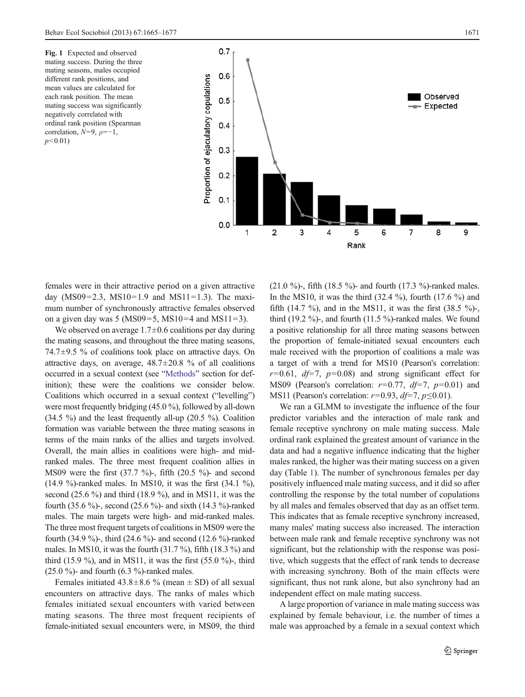<span id="page-6-0"></span>Fig. 1 Expected and observed mating success. During the three mating seasons, males occupied different rank positions, and mean values are calculated for each rank position. The mean mating success was significantly negatively correlated with ordinal rank position (Spearman correlation,  $N=9$ ,  $\rho=-1$ ,  $p<0.01$ )



5

Rank

6

 $\overline{7}$ 

8

9

females were in their attractive period on a given attractive day  $(MS09=2.3, MS10=1.9$  and  $MS11=1.3$ ). The maximum number of synchronously attractive females observed on a given day was 5 (MS09=5, MS10=4 and MS11=3).

 $\mathbf{1}$ 

 $\overline{2}$ 

3

 $\overline{\mathbf{4}}$ 

We observed on average  $1.7\pm0.6$  coalitions per day during the mating seasons, and throughout the three mating seasons, 74.7 $\pm$ 9.5 % of coalitions took place on attractive days. On attractive days, on average,  $48.7 \pm 20.8$  % of all coalitions occurred in a sexual context (see "[Methods](#page-2-0)" section for definition); these were the coalitions we consider below. Coalitions which occurred in a sexual context ("levelling") were most frequently bridging (45.0 %), followed by all-down (34.5 %) and the least frequently all-up (20.5 %). Coalition formation was variable between the three mating seasons in terms of the main ranks of the allies and targets involved. Overall, the main allies in coalitions were high- and midranked males. The three most frequent coalition allies in MS09 were the first (37.7 %)-, fifth (20.5 %)- and second (14.9 %)-ranked males. In MS10, it was the first (34.1 %), second (25.6 %) and third (18.9 %), and in MS11, it was the fourth (35.6 %)-, second (25.6 %)- and sixth (14.3 %)-ranked males. The main targets were high- and mid-ranked males. The three most frequent targets of coalitions in MS09 were the fourth (34.9 %)-, third (24.6 %)- and second (12.6 %)-ranked males. In MS10, it was the fourth  $(31.7\%)$ , fifth  $(18.3\%)$  and third (15.9 %), and in MS11, it was the first (55.0 %)-, third  $(25.0 \%)$ - and fourth  $(6.3 \%)$ -ranked males.

Females initiated  $43.8\pm8.6$  % (mean  $\pm$  SD) of all sexual encounters on attractive days. The ranks of males which females initiated sexual encounters with varied between mating seasons. The three most frequent recipients of female-initiated sexual encounters were, in MS09, the third (21.0 %)-, fifth (18.5 %)- and fourth (17.3 %)-ranked males. In the MS10, it was the third  $(32.4 \%)$ , fourth  $(17.6 \%)$  and fifth (14.7 %), and in the MS11, it was the first (38.5 %)-. third (19.2 %)-, and fourth (11.5 %)-ranked males. We found a positive relationship for all three mating seasons between the proportion of female-initiated sexual encounters each male received with the proportion of coalitions a male was a target of with a trend for MS10 (Pearson's correlation:  $r=0.61$ ,  $df=7$ ,  $p=0.08$ ) and strong significant effect for MS09 (Pearson's correlation:  $r=0.77$ ,  $df=7$ ,  $p=0.01$ ) and MS11 (Pearson's correlation:  $r=0.93$ ,  $df=7$ ,  $p\leq 0.01$ ).

We ran a GLMM to investigate the influence of the four predictor variables and the interaction of male rank and female receptive synchrony on male mating success. Male ordinal rank explained the greatest amount of variance in the data and had a negative influence indicating that the higher males ranked, the higher was their mating success on a given day (Table [1](#page-7-0)). The number of synchronous females per day positively influenced male mating success, and it did so after controlling the response by the total number of copulations by all males and females observed that day as an offset term. This indicates that as female receptive synchrony increased, many males' mating success also increased. The interaction between male rank and female receptive synchrony was not significant, but the relationship with the response was positive, which suggests that the effect of rank tends to decrease with increasing synchrony. Both of the main effects were significant, thus not rank alone, but also synchrony had an independent effect on male mating success.

A large proportion of variance in male mating success was explained by female behaviour, i.e. the number of times a male was approached by a female in a sexual context which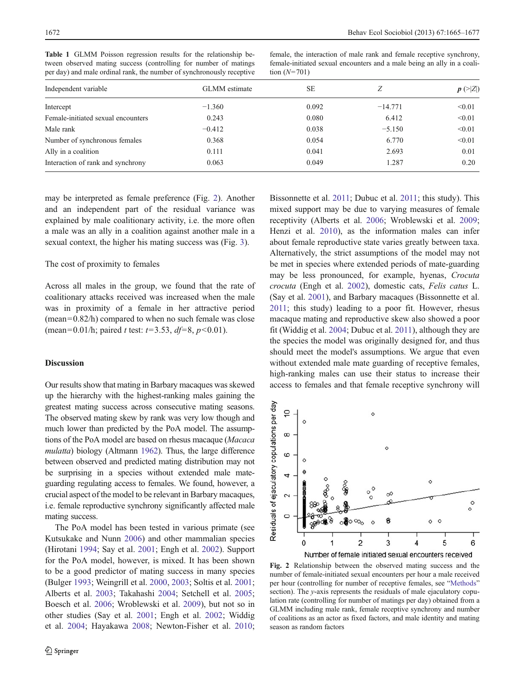| per day) and male ordinal rank, the number of synchronously receptive<br>tion $(N = 701)$ |                      |           |           |                     |  |
|-------------------------------------------------------------------------------------------|----------------------|-----------|-----------|---------------------|--|
| Independent variable                                                                      | <b>GLMM</b> estimate | <b>SE</b> |           | $p(>\vert Z \vert)$ |  |
| Intercept                                                                                 | $-1.360$             | 0.092     | $-14.771$ | < 0.01              |  |
| Female-initiated sexual encounters                                                        | 0.243                | 0.080     | 6.412     | < 0.01              |  |
| Male rank                                                                                 | $-0.412$             | 0.038     | $-5.150$  | < 0.01              |  |
| Number of synchronous females                                                             | 0.368                | 0.054     | 6.770     | < 0.01              |  |
| Ally in a coalition                                                                       | 0.111                | 0.041     | 2.693     | 0.01                |  |
| Interaction of rank and synchrony                                                         | 0.063                | 0.049     | 1.287     | 0.20                |  |

<span id="page-7-0"></span>Table 1 GLMM Poisson regression results for the relationship between observed mating success (controlling for number of matings per day) and male ordinal rank, the number of synchronously receptive

female, the interaction of male rank and female receptive synchrony, female-initiated sexual encounters and a male being an ally in a coalition  $(N=701)$ 

may be interpreted as female preference (Fig. 2). Another and an independent part of the residual variance was explained by male coalitionary activity, i.e. the more often a male was an ally in a coalition against another male in a sexual context, the higher his mating success was (Fig. [3](#page-8-0)).

## The cost of proximity to females

Across all males in the group, we found that the rate of coalitionary attacks received was increased when the male was in proximity of a female in her attractive period (mean=0.82/h) compared to when no such female was close (mean=0.01/h; paired t test:  $t=3.53$ ,  $df=8$ ,  $p<0.01$ ).

#### Discussion

Our results show that mating in Barbary macaques was skewed up the hierarchy with the highest-ranking males gaining the greatest mating success across consecutive mating seasons. The observed mating skew by rank was very low though and much lower than predicted by the PoA model. The assumptions of the PoA model are based on rhesus macaque (Macaca mulatta) biology (Altmann [1962](#page-10-0)). Thus, the large difference between observed and predicted mating distribution may not be surprising in a species without extended male mateguarding regulating access to females. We found, however, a crucial aspect of the model to be relevant in Barbary macaques, i.e. female reproductive synchrony significantly affected male mating success.

The PoA model has been tested in various primate (see Kutsukake and Nunn [2006](#page-11-0)) and other mammalian species (Hirotani [1994](#page-11-0); Say et al. [2001](#page-12-0); Engh et al. [2002\)](#page-11-0). Support for the PoA model, however, is mixed. It has been shown to be a good predictor of mating success in many species (Bulger [1993;](#page-10-0) Weingrill et al. [2000,](#page-12-0) [2003;](#page-12-0) Soltis et al. [2001](#page-12-0); Alberts et al. [2003;](#page-10-0) Takahashi [2004](#page-12-0); Setchell et al. [2005](#page-12-0); Boesch et al. [2006](#page-10-0); Wroblewski et al. [2009\)](#page-12-0), but not so in other studies (Say et al. [2001](#page-12-0); Engh et al. [2002;](#page-11-0) Widdig et al. [2004;](#page-12-0) Hayakawa [2008;](#page-11-0) Newton-Fisher et al. [2010](#page-11-0); Bissonnette et al. [2011](#page-10-0); Dubuc et al. [2011;](#page-11-0) this study). This mixed support may be due to varying measures of female receptivity (Alberts et al. [2006;](#page-10-0) Wroblewski et al. [2009;](#page-12-0) Henzi et al. [2010](#page-11-0)), as the information males can infer about female reproductive state varies greatly between taxa. Alternatively, the strict assumptions of the model may not be met in species where extended periods of mate-guarding may be less pronounced, for example, hyenas, Crocuta crocuta (Engh et al. [2002](#page-11-0)), domestic cats, Felis catus L. (Say et al. [2001\)](#page-12-0), and Barbary macaques (Bissonnette et al. [2011;](#page-10-0) this study) leading to a poor fit. However, rhesus macaque mating and reproductive skew also showed a poor fit (Widdig et al. [2004](#page-12-0); Dubuc et al. [2011\)](#page-11-0), although they are the species the model was originally designed for, and thus should meet the model's assumptions. We argue that even without extended male mate guarding of receptive females, high-ranking males can use their status to increase their access to females and that female receptive synchrony will



Fig. 2 Relationship between the observed mating success and the number of female-initiated sexual encounters per hour a male received per hour (controlling for number of receptive females, see "[Methods](#page-2-0)" section). The *y*-axis represents the residuals of male ejaculatory copulation rate (controlling for number of matings per day) obtained from a GLMM including male rank, female receptive synchrony and number of coalitions as an actor as fixed factors, and male identity and mating season as random factors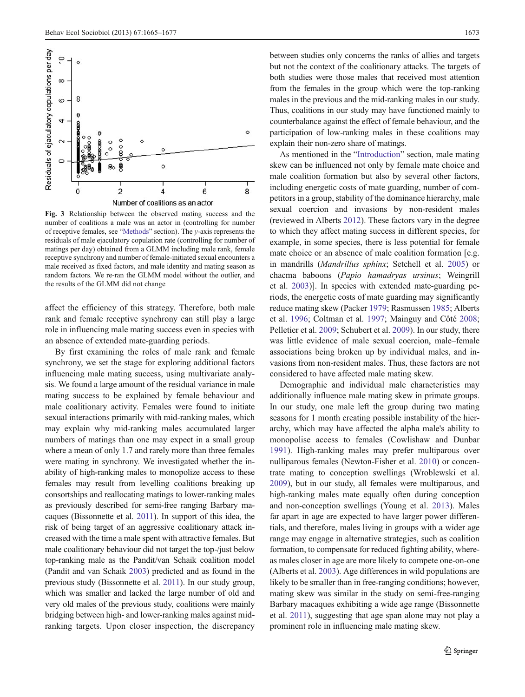<span id="page-8-0"></span>

Fig. 3 Relationship between the observed mating success and the number of coalitions a male was an actor in (controlling for number of receptive females, see "[Methods](#page-2-0)" section). The y-axis represents the residuals of male ejaculatory copulation rate (controlling for number of matings per day) obtained from a GLMM including male rank, female receptive synchrony and number of female-initiated sexual encounters a male received as fixed factors, and male identity and mating season as random factors. We re-ran the GLMM model without the outlier, and the results of the GLMM did not change

affect the efficiency of this strategy. Therefore, both male rank and female receptive synchrony can still play a large role in influencing male mating success even in species with an absence of extended mate-guarding periods.

By first examining the roles of male rank and female synchrony, we set the stage for exploring additional factors influencing male mating success, using multivariate analysis. We found a large amount of the residual variance in male mating success to be explained by female behaviour and male coalitionary activity. Females were found to initiate sexual interactions primarily with mid-ranking males, which may explain why mid-ranking males accumulated larger numbers of matings than one may expect in a small group where a mean of only 1.7 and rarely more than three females were mating in synchrony. We investigated whether the inability of high-ranking males to monopolize access to these females may result from levelling coalitions breaking up consortships and reallocating matings to lower-ranking males as previously described for semi-free ranging Barbary macaques (Bissonnette et al. [2011](#page-10-0)). In support of this idea, the risk of being target of an aggressive coalitionary attack increased with the time a male spent with attractive females. But male coalitionary behaviour did not target the top-/just below top-ranking male as the Pandit/van Schaik coalition model (Pandit and van Schaik [2003](#page-11-0)) predicted and as found in the previous study (Bissonnette et al. [2011](#page-10-0)). In our study group, which was smaller and lacked the large number of old and very old males of the previous study, coalitions were mainly bridging between high- and lower-ranking males against midranking targets. Upon closer inspection, the discrepancy

between studies only concerns the ranks of allies and targets but not the context of the coalitionary attacks. The targets of both studies were those males that received most attention from the females in the group which were the top-ranking males in the previous and the mid-ranking males in our study. Thus, coalitions in our study may have functioned mainly to counterbalance against the effect of female behaviour, and the participation of low-ranking males in these coalitions may explain their non-zero share of matings.

As mentioned in the "[Introduction](#page-0-0)" section, male mating skew can be influenced not only by female mate choice and male coalition formation but also by several other factors, including energetic costs of mate guarding, number of competitors in a group, stability of the dominance hierarchy, male sexual coercion and invasions by non-resident males (reviewed in Alberts [2012\)](#page-10-0). These factors vary in the degree to which they affect mating success in different species, for example, in some species, there is less potential for female mate choice or an absence of male coalition formation [e.g. in mandrills (Mandrillus sphinx; Setchell et al. [2005](#page-12-0)) or chacma baboons (Papio hamadryas ursinus; Weingrill et al. [2003\)](#page-12-0)]. In species with extended mate-guarding periods, the energetic costs of mate guarding may significantly reduce mating skew (Packer [1979;](#page-11-0) Rasmussen [1985](#page-12-0); Alberts et al. [1996;](#page-10-0) Coltman et al. [1997](#page-10-0); Mainguy and Côté [2008;](#page-11-0) Pelletier et al. [2009](#page-12-0); Schubert et al. [2009](#page-12-0)). In our study, there was little evidence of male sexual coercion, male–female associations being broken up by individual males, and invasions from non-resident males. Thus, these factors are not considered to have affected male mating skew.

Demographic and individual male characteristics may additionally influence male mating skew in primate groups. In our study, one male left the group during two mating seasons for 1 month creating possible instability of the hierarchy, which may have affected the alpha male's ability to monopolise access to females (Cowlishaw and Dunbar [1991](#page-11-0)). High-ranking males may prefer multiparous over nulliparous females (Newton-Fisher et al. [2010](#page-11-0)) or concentrate mating to conception swellings (Wroblewski et al. [2009](#page-12-0)), but in our study, all females were multiparous, and high-ranking males mate equally often during conception and non-conception swellings (Young et al. [2013](#page-12-0)). Males far apart in age are expected to have larger power differentials, and therefore, males living in groups with a wider age range may engage in alternative strategies, such as coalition formation, to compensate for reduced fighting ability, whereas males closer in age are more likely to compete one-on-one (Alberts et al. [2003\)](#page-10-0). Age differences in wild populations are likely to be smaller than in free-ranging conditions; however, mating skew was similar in the study on semi-free-ranging Barbary macaques exhibiting a wide age range (Bissonnette et al. [2011\)](#page-10-0), suggesting that age span alone may not play a prominent role in influencing male mating skew.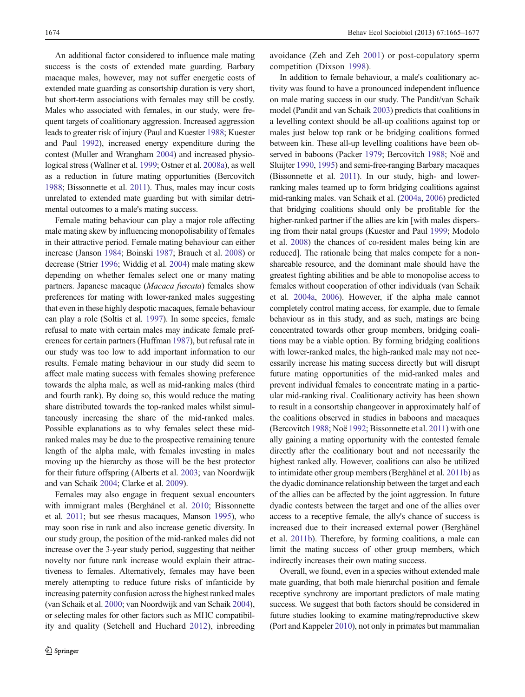An additional factor considered to influence male mating success is the costs of extended mate guarding. Barbary macaque males, however, may not suffer energetic costs of extended mate guarding as consortship duration is very short, but short-term associations with females may still be costly. Males who associated with females, in our study, were frequent targets of coalitionary aggression. Increased aggression leads to greater risk of injury (Paul and Kuester [1988](#page-12-0); Kuester and Paul [1992](#page-11-0)), increased energy expenditure during the contest (Muller and Wrangham [2004\)](#page-11-0) and increased physiological stress (Wallner et al. [1999](#page-12-0); Ostner et al. [2008a\)](#page-11-0), as well as a reduction in future mating opportunities (Bercovitch [1988;](#page-10-0) Bissonnette et al. [2011\)](#page-10-0). Thus, males may incur costs unrelated to extended mate guarding but with similar detrimental outcomes to a male's mating success.

Female mating behaviour can play a major role affecting male mating skew by influencing monopolisability of females in their attractive period. Female mating behaviour can either increase (Janson [1984;](#page-11-0) Boinski [1987](#page-10-0); Brauch et al. [2008\)](#page-10-0) or decrease (Strier [1996;](#page-12-0) Widdig et al. [2004\)](#page-12-0) male mating skew depending on whether females select one or many mating partners. Japanese macaque (Macaca fuscata) females show preferences for mating with lower-ranked males suggesting that even in these highly despotic macaques, female behaviour can play a role (Soltis et al. [1997\)](#page-12-0). In some species, female refusal to mate with certain males may indicate female preferences for certain partners (Huffman [1987](#page-11-0)), but refusal rate in our study was too low to add important information to our results. Female mating behaviour in our study did seem to affect male mating success with females showing preference towards the alpha male, as well as mid-ranking males (third and fourth rank). By doing so, this would reduce the mating share distributed towards the top-ranked males whilst simultaneously increasing the share of the mid-ranked males. Possible explanations as to why females select these midranked males may be due to the prospective remaining tenure length of the alpha male, with females investing in males moving up the hierarchy as those will be the best protector for their future offspring (Alberts et al. [2003;](#page-10-0) van Noordwijk and van Schaik [2004](#page-12-0); Clarke et al. [2009\)](#page-10-0).

Females may also engage in frequent sexual encounters with immigrant males (Berghänel et al. [2010;](#page-10-0) Bissonnette et al. [2011;](#page-10-0) but see rhesus macaques, Manson [1995\)](#page-11-0), who may soon rise in rank and also increase genetic diversity. In our study group, the position of the mid-ranked males did not increase over the 3-year study period, suggesting that neither novelty nor future rank increase would explain their attractiveness to females. Alternatively, females may have been merely attempting to reduce future risks of infanticide by increasing paternity confusion across the highest ranked males (van Schaik et al. [2000](#page-12-0); van Noordwijk and van Schaik [2004\)](#page-12-0), or selecting males for other factors such as MHC compatibility and quality (Setchell and Huchard [2012\)](#page-12-0), inbreeding

avoidance (Zeh and Zeh [2001\)](#page-12-0) or post-copulatory sperm competition (Dixson [1998](#page-11-0)).

In addition to female behaviour, a male's coalitionary activity was found to have a pronounced independent influence on male mating success in our study. The Pandit/van Schaik model (Pandit and van Schaik [2003\)](#page-11-0) predicts that coalitions in a levelling context should be all-up coalitions against top or males just below top rank or be bridging coalitions formed between kin. These all-up levelling coalitions have been observed in baboons (Packer [1979](#page-11-0); Bercovitch [1988;](#page-10-0) Noë and Sluijter [1990,](#page-11-0) [1995](#page-11-0)) and semi-free-ranging Barbary macaques (Bissonnette et al. [2011\)](#page-10-0). In our study, high- and lowerranking males teamed up to form bridging coalitions against mid-ranking males. van Schaik et al. [\(2004a](#page-12-0), [2006\)](#page-12-0) predicted that bridging coalitions should only be profitable for the higher-ranked partner if the allies are kin [with males dispersing from their natal groups (Kuester and Paul [1999;](#page-11-0) Modolo et al. [2008](#page-11-0)) the chances of co-resident males being kin are reduced]. The rationale being that males compete for a nonshareable resource, and the dominant male should have the greatest fighting abilities and be able to monopolise access to females without cooperation of other individuals (van Schaik et al. [2004a](#page-12-0), [2006\)](#page-12-0). However, if the alpha male cannot completely control mating access, for example, due to female behaviour as in this study, and as such, matings are being concentrated towards other group members, bridging coalitions may be a viable option. By forming bridging coalitions with lower-ranked males, the high-ranked male may not necessarily increase his mating success directly but will disrupt future mating opportunities of the mid-ranked males and prevent individual females to concentrate mating in a particular mid-ranking rival. Coalitionary activity has been shown to result in a consortship changeover in approximately half of the coalitions observed in studies in baboons and macaques (Bercovitch [1988](#page-10-0); Noë [1992](#page-11-0); Bissonnette et al. [2011\)](#page-10-0) with one ally gaining a mating opportunity with the contested female directly after the coalitionary bout and not necessarily the highest ranked ally. However, coalitions can also be utilized to intimidate other group members (Berghänel et al. [2011b\)](#page-10-0) as the dyadic dominance relationship between the target and each of the allies can be affected by the joint aggression. In future dyadic contests between the target and one of the allies over access to a receptive female, the ally's chance of success is increased due to their increased external power (Berghänel et al. [2011b](#page-10-0)). Therefore, by forming coalitions, a male can limit the mating success of other group members, which indirectly increases their own mating success.

Overall, we found, even in a species without extended male mate guarding, that both male hierarchal position and female receptive synchrony are important predictors of male mating success. We suggest that both factors should be considered in future studies looking to examine mating/reproductive skew (Port and Kappeler [2010](#page-12-0)), not only in primates but mammalian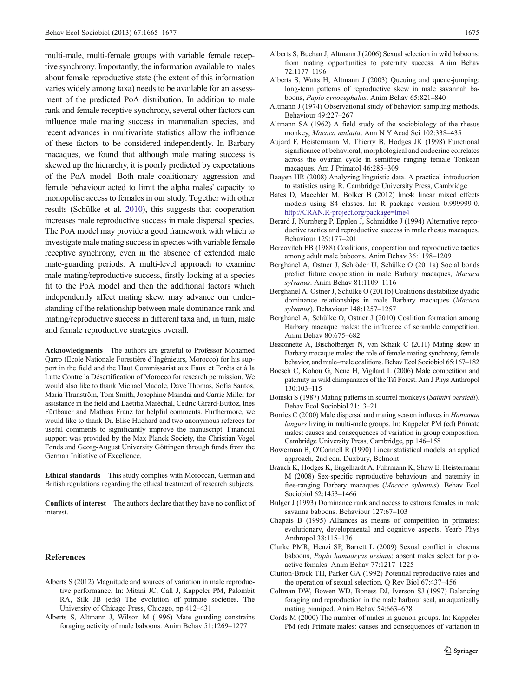<span id="page-10-0"></span>multi-male, multi-female groups with variable female receptive synchrony. Importantly, the information available to males about female reproductive state (the extent of this information varies widely among taxa) needs to be available for an assessment of the predicted PoA distribution. In addition to male rank and female receptive synchrony, several other factors can influence male mating success in mammalian species, and recent advances in multivariate statistics allow the influence of these factors to be considered independently. In Barbary macaques, we found that although male mating success is skewed up the hierarchy, it is poorly predicted by expectations of the PoA model. Both male coalitionary aggression and female behaviour acted to limit the alpha males' capacity to monopolise access to females in our study. Together with other results (Schülke et al. [2010\)](#page-12-0), this suggests that cooperation increases male reproductive success in male dispersal species. The PoA model may provide a good framework with which to investigate male mating success in species with variable female receptive synchrony, even in the absence of extended male mate-guarding periods. A multi-level approach to examine male mating/reproductive success, firstly looking at a species fit to the PoA model and then the additional factors which independently affect mating skew, may advance our understanding of the relationship between male dominance rank and mating/reproductive success in different taxa and, in turn, male and female reproductive strategies overall.

Acknowledgments The authors are grateful to Professor Mohamed Qarro (Ecole Nationale Forestière d'Ingénieurs, Morocco) for his support in the field and the Haut Commissariat aux Eaux et Forêts et à la Lutte Contre la Désertification of Morocco for research permission. We would also like to thank Michael Madole, Dave Thomas, Sofia Santos, Maria Thunström, Tom Smith, Josephine Msindai and Carrie Miller for assistance in the field and Laëtitia Maréchal, Cédric Girard-Buttoz, Ines Fürtbauer and Mathias Franz for helpful comments. Furthermore, we would like to thank Dr. Elise Huchard and two anonymous referees for useful comments to significantly improve the manuscript. Financial support was provided by the Max Planck Society, the Christian Vogel Fonds and Georg-August University Göttingen through funds from the German Initiative of Excellence.

Ethical standards This study complies with Moroccan, German and British regulations regarding the ethical treatment of research subjects.

Conflicts of interest The authors declare that they have no conflict of interest.

#### References

- Alberts S (2012) Magnitude and sources of variation in male reproductive performance. In: Mitani JC, Call J, Kappeler PM, Palombit RA, Silk JB (eds) The evolution of primate societies. The University of Chicago Press, Chicago, pp 412–431
- Alberts S, Altmann J, Wilson M (1996) Mate guarding constrains foraging activity of male baboons. Anim Behav 51:1269–1277
- Alberts S, Buchan J, Altmann J (2006) Sexual selection in wild baboons: from mating opportunities to paternity success. Anim Behav 72:1177–1196
- Alberts S, Watts H, Altmann J (2003) Queuing and queue-jumping: long-term patterns of reproductive skew in male savannah baboons, Papio cynocephalus. Anim Behav 65:821–840
- Altmann J (1974) Observational study of behavior: sampling methods. Behaviour 49:227–267
- Altmann SA (1962) A field study of the sociobiology of the rhesus monkey, Macaca mulatta. Ann N Y Acad Sci 102:338–435
- Aujard F, Heistermann M, Thierry B, Hodges JK (1998) Functional significance of behavioral, morphological and endocrine correlates across the ovarian cycle in semifree ranging female Tonkean macaques. Am J Primatol 46:285–309
- Baayen HR (2008) Analyzing linguistic data. A practical introduction to statistics using R. Cambridge University Press, Cambridge
- Bates D, Maechler M, Bolker B (2012) lme4: linear mixed effects models using S4 classes. In: R package version 0.999999-0. [http://CRAN.R-project.org/package=lme4](http://cran.r-project.org/package=lme4)
- Berard J, Nurnberg P, Epplen J, Schmidtke J (1994) Alternative reproductive tactics and reproductive success in male rhesus macaques. Behaviour 129:177–201
- Bercovitch FB (1988) Coalitions, cooperation and reproductive tactics among adult male baboons. Anim Behav 36:1198–1209
- Berghänel A, Ostner J, Schröder U, Schülke O (2011a) Social bonds predict future cooperation in male Barbary macaques, Macaca sylvanus. Anim Behav 81:1109–1116
- Berghänel A, Ostner J, Schülke O (2011b) Coalitions destabilize dyadic dominance relationships in male Barbary macaques (Macaca sylvanus). Behaviour 148:1257–1257
- Berghänel A, Schülke O, Ostner J (2010) Coalition formation among Barbary macaque males: the influence of scramble competition. Anim Behav 80:675–682
- Bissonnette A, Bischofberger N, van Schaik C (2011) Mating skew in Barbary macaque males: the role of female mating synchrony, female behavior, and male–male coalitions. Behav Ecol Sociobiol 65:167–182
- Boesch C, Kohou G, Nene H, Vigilant L (2006) Male competition and paternity in wild chimpanzees of the Taï Forest. Am J Phys Anthropol 130:103–115
- Boinski S (1987) Mating patterns in squirrel monkeys (Saimiri oerstedi). Behav Ecol Sociobiol 21:13–21
- Borries C (2000) Male dispersal and mating season influxes in Hanuman langurs living in multi-male groups. In: Kappeler PM (ed) Primate males: causes and consequences of variation in group composition. Cambridge University Press, Cambridge, pp 146–158
- Bowerman B, O'Connell R (1990) Linear statistical models: an applied approach, 2nd edn. Duxbury, Belmont
- Brauch K, Hodges K, Engelhardt A, Fuhrmann K, Shaw E, Heistermann M (2008) Sex-specific reproductive behaviours and paternity in free-ranging Barbary macaques (Macaca sylvanus). Behav Ecol Sociobiol 62:1453–1466
- Bulger J (1993) Dominance rank and access to estrous females in male savanna baboons. Behaviour 127:67–103
- Chapais B (1995) Alliances as means of competition in primates: evolutionary, developmental and cognitive aspects. Yearb Phys Anthropol 38:115–136
- Clarke PMR, Henzi SP, Barrett L (2009) Sexual conflict in chacma baboons, Papio hamadryas ursinus: absent males select for proactive females. Anim Behav 77:1217–1225
- Clutton-Brock TH, Parker GA (1992) Potential reproductive rates and the operation of sexual selection. Q Rev Biol 67:437–456
- Coltman DW, Bowen WD, Boness DJ, Iverson SJ (1997) Balancing foraging and reproduction in the male harbour seal, an aquatically mating pinniped. Anim Behav 54:663–678
- Cords M (2000) The number of males in guenon groups. In: Kappeler PM (ed) Primate males: causes and consequences of variation in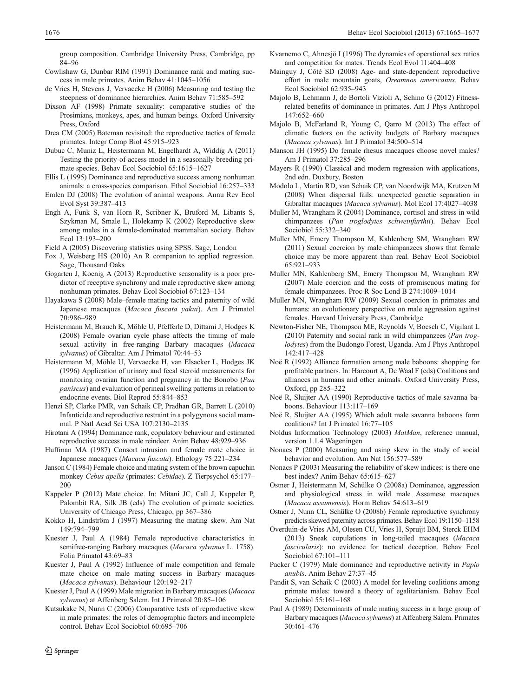<span id="page-11-0"></span>group composition. Cambridge University Press, Cambridge, pp 84–96

- Cowlishaw G, Dunbar RIM (1991) Dominance rank and mating success in male primates. Anim Behav 41:1045–1056
- de Vries H, Stevens J, Vervaecke H (2006) Measuring and testing the steepness of dominance hierarchies. Anim Behav 71:585–592
- Dixson AF (1998) Primate sexuality: comparative studies of the Prosimians, monkeys, apes, and human beings. Oxford University Press, Oxford
- Drea CM (2005) Bateman revisited: the reproductive tactics of female primates. Integr Comp Biol 45:915–923
- Dubuc C, Muniz L, Heistermann M, Engelhardt A, Widdig A (2011) Testing the priority-of-access model in a seasonally breeding primate species. Behav Ecol Sociobiol 65:1615–1627
- Ellis L (1995) Dominance and reproductive success among nonhuman animals: a cross-species comparison. Ethol Sociobiol 16:257–333
- Emlen DJ (2008) The evolution of animal weapons. Annu Rev Ecol Evol Syst 39:387–413
- Engh A, Funk S, van Horn R, Scribner K, Bruford M, Libants S, Szykman M, Smale L, Holekamp K (2002) Reproductive skew among males in a female-dominated mammalian society. Behav Ecol 13:193–200
- Field A (2005) Discovering statistics using SPSS. Sage, London
- Fox J, Weisberg HS (2010) An R companion to applied regression. Sage, Thousand Oaks
- Gogarten J, Koenig A (2013) Reproductive seasonality is a poor predictor of receptive synchrony and male reproductive skew among nonhuman primates. Behav Ecol Sociobiol 67:123–134
- Hayakawa S (2008) Male–female mating tactics and paternity of wild Japanese macaques (Macaca fuscata yakui). Am J Primatol 70:986–989
- Heistermann M, Brauch K, Möhle U, Pfefferle D, Dittami J, Hodges K (2008) Female ovarian cycle phase affects the timing of male sexual activity in free-ranging Barbary macaques (Macaca sylvanus) of Gibraltar. Am J Primatol 70:44–53
- Heistermann M, Möhle U, Vervaecke H, van Elsacker L, Hodges JK (1996) Application of urinary and fecal steroid measurements for monitoring ovarian function and pregnancy in the Bonobo (Pan paniscus) and evaluation of perineal swelling patterns in relation to endocrine events. Biol Reprod 55:844–853
- Henzi SP, Clarke PMR, van Schaik CP, Pradhan GR, Barrett L (2010) Infanticide and reproductive restraint in a polygynous social mammal. P Natl Acad Sci USA 107:2130–2135
- Hirotani A (1994) Dominance rank, copulatory behaviour and estimated reproductive success in male reindeer. Anim Behav 48:929–936
- Huffman MA (1987) Consort intrusion and female mate choice in Japanese macaques (Macaca fuscata). Ethology 75:221–234
- Janson C (1984) Female choice and mating system of the brown capuchin monkey Cebus apella (primates: Cebidae). Z Tierpsychol 65:177– 200
- Kappeler P (2012) Mate choice. In: Mitani JC, Call J, Kappeler P, Palombit RA, Silk JB (eds) The evolution of primate societies. University of Chicago Press, Chicago, pp 367–386
- Kokko H, Lindström J (1997) Measuring the mating skew. Am Nat 149:794–799
- Kuester J, Paul A (1984) Female reproductive characteristics in semifree-ranging Barbary macaques (Macaca sylvanus L. 1758). Folia Primatol 43:69–83
- Kuester J, Paul A (1992) Influence of male competition and female mate choice on male mating success in Barbary macaques (Macaca sylvanus). Behaviour 120:192–217
- Kuester J, Paul A (1999) Male migration in Barbary macaques (Macaca sylvanus) at Affenberg Salem. Int J Primatol 20:85–106
- Kutsukake N, Nunn C (2006) Comparative tests of reproductive skew in male primates: the roles of demographic factors and incomplete control. Behav Ecol Sociobiol 60:695–706
- Kvarnemo C, Ahnesjö I (1996) The dynamics of operational sex ratios and competition for mates. Trends Ecol Evol 11:404–408
- Mainguy J, Côté SD (2008) Age- and state-dependent reproductive effort in male mountain goats, Oreamnos americanus. Behav Ecol Sociobiol 62:935–943
- Majolo B, Lehmann J, de Bortoli Vizioli A, Schino G (2012) Fitnessrelated benefits of dominance in primates. Am J Phys Anthropol 147:652–660
- Majolo B, McFarland R, Young C, Qarro M (2013) The effect of climatic factors on the activity budgets of Barbary macaques (Macaca sylvanus). Int J Primatol 34:500–514
- Manson JH (1995) Do female rhesus macaques choose novel males? Am J Primatol 37:285–296
- Mayers R (1990) Classical and modern regression with applications, 2nd edn. Duxbury, Boston
- Modolo L, Martin RD, van Schaik CP, van Noordwijk MA, Krutzen M (2008) When dispersal fails: unexpected genetic separation in Gibraltar macaques (Macaca sylvanus). Mol Ecol 17:4027–4038
- Muller M, Wrangham R (2004) Dominance, cortisol and stress in wild chimpanzees (Pan troglodytes schweinfurthii). Behav Ecol Sociobiol 55:332–340
- Muller MN, Emery Thompson M, Kahlenberg SM, Wrangham RW (2011) Sexual coercion by male chimpanzees shows that female choice may be more apparent than real. Behav Ecol Sociobiol 65:921–933
- Muller MN, Kahlenberg SM, Emery Thompson M, Wrangham RW (2007) Male coercion and the costs of promiscuous mating for female chimpanzees. Proc R Soc Lond B 274:1009–1014
- Muller MN, Wrangham RW (2009) Sexual coercion in primates and humans: an evolutionary perspective on male aggression against females. Harvard University Press, Cambridge
- Newton-Fisher NE, Thompson ME, Reynolds V, Boesch C, Vigilant L (2010) Paternity and social rank in wild chimpanzees (Pan troglodytes) from the Budongo Forest, Uganda. Am J Phys Anthropol 142:417–428
- Noë R (1992) Alliance formation among male baboons: shopping for profitable partners. In: Harcourt A, De Waal F (eds) Coalitions and alliances in humans and other animals. Oxford University Press, Oxford, pp 285–322
- Noë R, Sluijter AA (1990) Reproductive tactics of male savanna baboons. Behaviour 113:117–169
- Noë R, Sluijter AA (1995) Which adult male savanna baboons form coalitions? Int J Primatol 16:77–105
- Noldus Information Technology (2003) MatMan, reference manual, version 1.1.4 Wageningen
- Nonacs P (2000) Measuring and using skew in the study of social behavior and evolution. Am Nat 156:577–589
- Nonacs P (2003) Measuring the reliability of skew indices: is there one best index? Anim Behav 65:615–627
- Ostner J, Heistermann M, Schülke O (2008a) Dominance, aggression and physiological stress in wild male Assamese macaques (Macaca assamensis). Horm Behav 54:613–619
- Ostner J, Nunn CL, Schülke O (2008b) Female reproductive synchrony predicts skewed paternity across primates. Behav Ecol 19:1150–1158
- Overduin-de Vries AM, Olesen CU, Vries H, Spruijt BM, Sterck EHM (2013) Sneak copulations in long-tailed macaques (Macaca fascicularis): no evidence for tactical deception. Behav Ecol Sociobiol 67:101–111
- Packer C (1979) Male dominance and reproductive activity in Papio anubis. Anim Behav 27:37–45
- Pandit S, van Schaik C (2003) A model for leveling coalitions among primate males: toward a theory of egalitarianism. Behav Ecol Sociobiol 55:161–168
- Paul A (1989) Determinants of male mating success in a large group of Barbary macaques (Macaca sylvanus) at Affenberg Salem. Primates 30:461–476